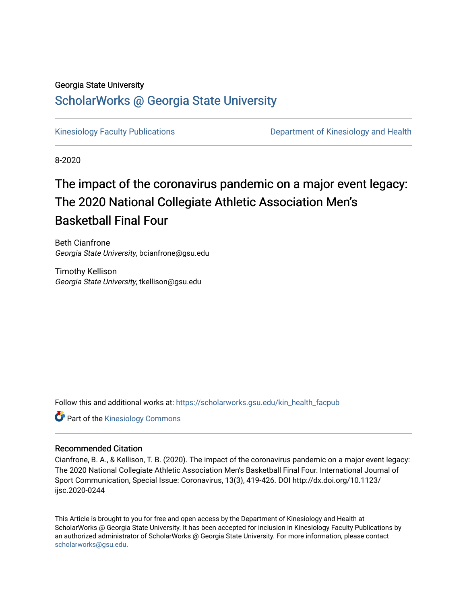#### Georgia State University

## [ScholarWorks @ Georgia State University](https://scholarworks.gsu.edu/)

[Kinesiology Faculty Publications](https://scholarworks.gsu.edu/kin_health_facpub) **Department of Kinesiology and Health Comparent** of Kinesiology and Health

8-2020

# The impact of the coronavirus pandemic on a major event legacy: The 2020 National Collegiate Athletic Association Men's Basketball Final Four

Beth Cianfrone Georgia State University, bcianfrone@gsu.edu

Timothy Kellison Georgia State University, tkellison@gsu.edu

Follow this and additional works at: [https://scholarworks.gsu.edu/kin\\_health\\_facpub](https://scholarworks.gsu.edu/kin_health_facpub?utm_source=scholarworks.gsu.edu%2Fkin_health_facpub%2F70&utm_medium=PDF&utm_campaign=PDFCoverPages) 

**Part of the Kinesiology Commons** 

#### Recommended Citation

Cianfrone, B. A., & Kellison, T. B. (2020). The impact of the coronavirus pandemic on a major event legacy: The 2020 National Collegiate Athletic Association Men's Basketball Final Four. International Journal of Sport Communication, Special Issue: Coronavirus, 13(3), 419-426. DOI http://dx.doi.org/10.1123/ ijsc.2020-0244

This Article is brought to you for free and open access by the Department of Kinesiology and Health at ScholarWorks @ Georgia State University. It has been accepted for inclusion in Kinesiology Faculty Publications by an authorized administrator of ScholarWorks @ Georgia State University. For more information, please contact [scholarworks@gsu.edu.](mailto:scholarworks@gsu.edu)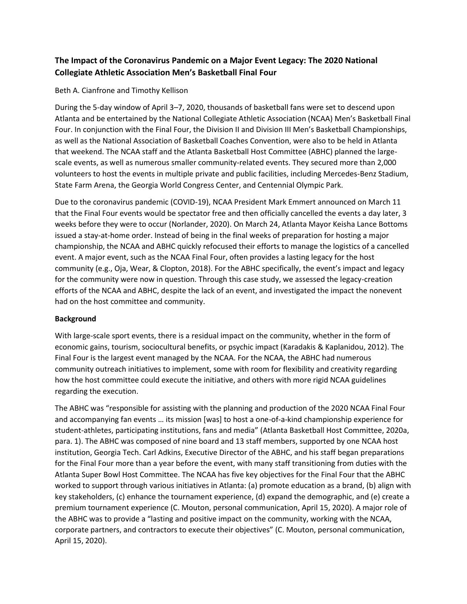### **The Impact of the Coronavirus Pandemic on a Major Event Legacy: The 2020 National Collegiate Athletic Association Men's Basketball Final Four**

#### Beth A. Cianfrone and Timothy Kellison

During the 5-day window of April 3–7, 2020, thousands of basketball fans were set to descend upon Atlanta and be entertained by the National Collegiate Athletic Association (NCAA) Men's Basketball Final Four. In conjunction with the Final Four, the Division II and Division III Men's Basketball Championships, as well as the National Association of Basketball Coaches Convention, were also to be held in Atlanta that weekend. The NCAA staff and the Atlanta Basketball Host Committee (ABHC) planned the largescale events, as well as numerous smaller community-related events. They secured more than 2,000 volunteers to host the events in multiple private and public facilities, including Mercedes-Benz Stadium, State Farm Arena, the Georgia World Congress Center, and Centennial Olympic Park.

Due to the coronavirus pandemic (COVID-19), NCAA President Mark Emmert announced on March 11 that the Final Four events would be spectator free and then officially cancelled the events a day later, 3 weeks before they were to occur (Norlander, 2020). On March 24, Atlanta Mayor Keisha Lance Bottoms issued a stay-at-home order. Instead of being in the final weeks of preparation for hosting a major championship, the NCAA and ABHC quickly refocused their efforts to manage the logistics of a cancelled event. A major event, such as the NCAA Final Four, often provides a lasting legacy for the host community (e.g., Oja, Wear, & Clopton, 2018). For the ABHC specifically, the event's impact and legacy for the community were now in question. Through this case study, we assessed the legacy-creation efforts of the NCAA and ABHC, despite the lack of an event, and investigated the impact the nonevent had on the host committee and community.

#### **Background**

With large-scale sport events, there is a residual impact on the community, whether in the form of economic gains, tourism, sociocultural benefits, or psychic impact (Karadakis & Kaplanidou, 2012). The Final Four is the largest event managed by the NCAA. For the NCAA, the ABHC had numerous community outreach initiatives to implement, some with room for flexibility and creativity regarding how the host committee could execute the initiative, and others with more rigid NCAA guidelines regarding the execution.

The ABHC was "responsible for assisting with the planning and production of the 2020 NCAA Final Four and accompanying fan events … its mission [was] to host a one-of-a-kind championship experience for student-athletes, participating institutions, fans and media" (Atlanta Basketball Host Committee, 2020a, para. 1). The ABHC was composed of nine board and 13 staff members, supported by one NCAA host institution, Georgia Tech. Carl Adkins, Executive Director of the ABHC, and his staff began preparations for the Final Four more than a year before the event, with many staff transitioning from duties with the Atlanta Super Bowl Host Committee. The NCAA has five key objectives for the Final Four that the ABHC worked to support through various initiatives in Atlanta: (a) promote education as a brand, (b) align with key stakeholders, (c) enhance the tournament experience, (d) expand the demographic, and (e) create a premium tournament experience (C. Mouton, personal communication, April 15, 2020). A major role of the ABHC was to provide a "lasting and positive impact on the community, working with the NCAA, corporate partners, and contractors to execute their objectives" (C. Mouton, personal communication, April 15, 2020).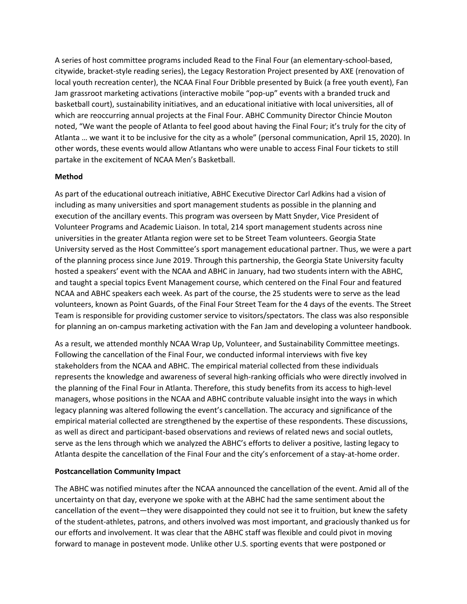A series of host committee programs included Read to the Final Four (an elementary-school-based, citywide, bracket-style reading series), the Legacy Restoration Project presented by AXE (renovation of local youth recreation center), the NCAA Final Four Dribble presented by Buick (a free youth event), Fan Jam grassroot marketing activations (interactive mobile "pop-up" events with a branded truck and basketball court), sustainability initiatives, and an educational initiative with local universities, all of which are reoccurring annual projects at the Final Four. ABHC Community Director Chincie Mouton noted, "We want the people of Atlanta to feel good about having the Final Four; it's truly for the city of Atlanta … we want it to be inclusive for the city as a whole" (personal communication, April 15, 2020). In other words, these events would allow Atlantans who were unable to access Final Four tickets to still partake in the excitement of NCAA Men's Basketball.

#### **Method**

As part of the educational outreach initiative, ABHC Executive Director Carl Adkins had a vision of including as many universities and sport management students as possible in the planning and execution of the ancillary events. This program was overseen by Matt Snyder, Vice President of Volunteer Programs and Academic Liaison. In total, 214 sport management students across nine universities in the greater Atlanta region were set to be Street Team volunteers. Georgia State University served as the Host Committee's sport management educational partner. Thus, we were a part of the planning process since June 2019. Through this partnership, the Georgia State University faculty hosted a speakers' event with the NCAA and ABHC in January, had two students intern with the ABHC, and taught a special topics Event Management course, which centered on the Final Four and featured NCAA and ABHC speakers each week. As part of the course, the 25 students were to serve as the lead volunteers, known as Point Guards, of the Final Four Street Team for the 4 days of the events. The Street Team is responsible for providing customer service to visitors/spectators. The class was also responsible for planning an on-campus marketing activation with the Fan Jam and developing a volunteer handbook.

As a result, we attended monthly NCAA Wrap Up, Volunteer, and Sustainability Committee meetings. Following the cancellation of the Final Four, we conducted informal interviews with five key stakeholders from the NCAA and ABHC. The empirical material collected from these individuals represents the knowledge and awareness of several high-ranking officials who were directly involved in the planning of the Final Four in Atlanta. Therefore, this study benefits from its access to high-level managers, whose positions in the NCAA and ABHC contribute valuable insight into the ways in which legacy planning was altered following the event's cancellation. The accuracy and significance of the empirical material collected are strengthened by the expertise of these respondents. These discussions, as well as direct and participant-based observations and reviews of related news and social outlets, serve as the lens through which we analyzed the ABHC's efforts to deliver a positive, lasting legacy to Atlanta despite the cancellation of the Final Four and the city's enforcement of a stay-at-home order.

#### **Postcancellation Community Impact**

The ABHC was notified minutes after the NCAA announced the cancellation of the event. Amid all of the uncertainty on that day, everyone we spoke with at the ABHC had the same sentiment about the cancellation of the event—they were disappointed they could not see it to fruition, but knew the safety of the student-athletes, patrons, and others involved was most important, and graciously thanked us for our efforts and involvement. It was clear that the ABHC staff was flexible and could pivot in moving forward to manage in postevent mode. Unlike other U.S. sporting events that were postponed or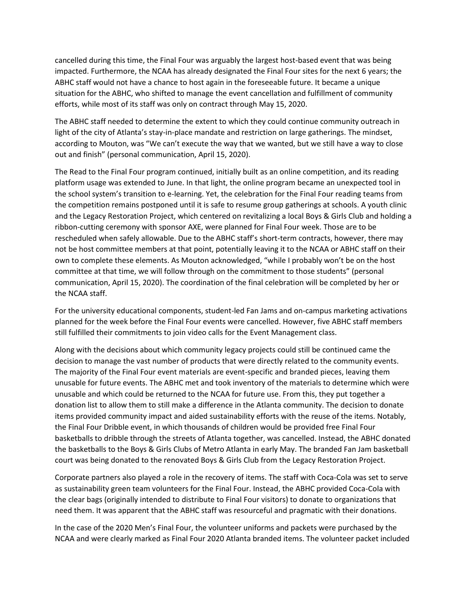cancelled during this time, the Final Four was arguably the largest host-based event that was being impacted. Furthermore, the NCAA has already designated the Final Four sites for the next 6 years; the ABHC staff would not have a chance to host again in the foreseeable future. It became a unique situation for the ABHC, who shifted to manage the event cancellation and fulfillment of community efforts, while most of its staff was only on contract through May 15, 2020.

The ABHC staff needed to determine the extent to which they could continue community outreach in light of the city of Atlanta's stay-in-place mandate and restriction on large gatherings. The mindset, according to Mouton, was "We can't execute the way that we wanted, but we still have a way to close out and finish" (personal communication, April 15, 2020).

The Read to the Final Four program continued, initially built as an online competition, and its reading platform usage was extended to June. In that light, the online program became an unexpected tool in the school system's transition to e-learning. Yet, the celebration for the Final Four reading teams from the competition remains postponed until it is safe to resume group gatherings at schools. A youth clinic and the Legacy Restoration Project, which centered on revitalizing a local Boys & Girls Club and holding a ribbon-cutting ceremony with sponsor AXE, were planned for Final Four week. Those are to be rescheduled when safely allowable. Due to the ABHC staff's short-term contracts, however, there may not be host committee members at that point, potentially leaving it to the NCAA or ABHC staff on their own to complete these elements. As Mouton acknowledged, "while I probably won't be on the host committee at that time, we will follow through on the commitment to those students" (personal communication, April 15, 2020). The coordination of the final celebration will be completed by her or the NCAA staff.

For the university educational components, student-led Fan Jams and on-campus marketing activations planned for the week before the Final Four events were cancelled. However, five ABHC staff members still fulfilled their commitments to join video calls for the Event Management class.

Along with the decisions about which community legacy projects could still be continued came the decision to manage the vast number of products that were directly related to the community events. The majority of the Final Four event materials are event-specific and branded pieces, leaving them unusable for future events. The ABHC met and took inventory of the materials to determine which were unusable and which could be returned to the NCAA for future use. From this, they put together a donation list to allow them to still make a difference in the Atlanta community. The decision to donate items provided community impact and aided sustainability efforts with the reuse of the items. Notably, the Final Four Dribble event, in which thousands of children would be provided free Final Four basketballs to dribble through the streets of Atlanta together, was cancelled. Instead, the ABHC donated the basketballs to the Boys & Girls Clubs of Metro Atlanta in early May. The branded Fan Jam basketball court was being donated to the renovated Boys & Girls Club from the Legacy Restoration Project.

Corporate partners also played a role in the recovery of items. The staff with Coca-Cola was set to serve as sustainability green team volunteers for the Final Four. Instead, the ABHC provided Coca-Cola with the clear bags (originally intended to distribute to Final Four visitors) to donate to organizations that need them. It was apparent that the ABHC staff was resourceful and pragmatic with their donations.

In the case of the 2020 Men's Final Four, the volunteer uniforms and packets were purchased by the NCAA and were clearly marked as Final Four 2020 Atlanta branded items. The volunteer packet included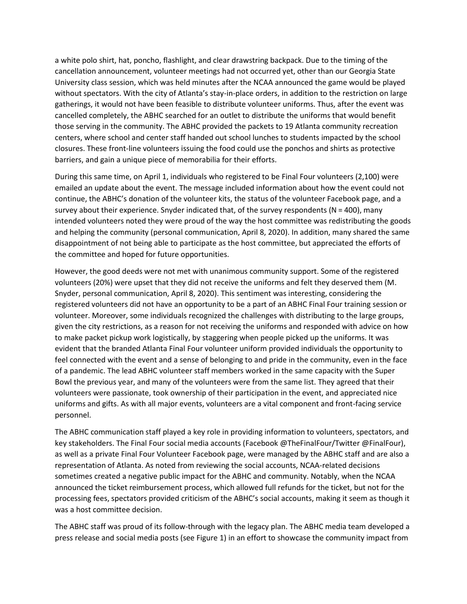a white polo shirt, hat, poncho, flashlight, and clear drawstring backpack. Due to the timing of the cancellation announcement, volunteer meetings had not occurred yet, other than our Georgia State University class session, which was held minutes after the NCAA announced the game would be played without spectators. With the city of Atlanta's stay-in-place orders, in addition to the restriction on large gatherings, it would not have been feasible to distribute volunteer uniforms. Thus, after the event was cancelled completely, the ABHC searched for an outlet to distribute the uniforms that would benefit those serving in the community. The ABHC provided the packets to 19 Atlanta community recreation centers, where school and center staff handed out school lunches to students impacted by the school closures. These front-line volunteers issuing the food could use the ponchos and shirts as protective barriers, and gain a unique piece of memorabilia for their efforts.

During this same time, on April 1, individuals who registered to be Final Four volunteers (2,100) were emailed an update about the event. The message included information about how the event could not continue, the ABHC's donation of the volunteer kits, the status of the volunteer Facebook page, and a survey about their experience. Snyder indicated that, of the survey respondents (N = 400), many intended volunteers noted they were proud of the way the host committee was redistributing the goods and helping the community (personal communication, April 8, 2020). In addition, many shared the same disappointment of not being able to participate as the host committee, but appreciated the efforts of the committee and hoped for future opportunities.

However, the good deeds were not met with unanimous community support. Some of the registered volunteers (20%) were upset that they did not receive the uniforms and felt they deserved them (M. Snyder, personal communication, April 8, 2020). This sentiment was interesting, considering the registered volunteers did not have an opportunity to be a part of an ABHC Final Four training session or volunteer. Moreover, some individuals recognized the challenges with distributing to the large groups, given the city restrictions, as a reason for not receiving the uniforms and responded with advice on how to make packet pickup work logistically, by staggering when people picked up the uniforms. It was evident that the branded Atlanta Final Four volunteer uniform provided individuals the opportunity to feel connected with the event and a sense of belonging to and pride in the community, even in the face of a pandemic. The lead ABHC volunteer staff members worked in the same capacity with the Super Bowl the previous year, and many of the volunteers were from the same list. They agreed that their volunteers were passionate, took ownership of their participation in the event, and appreciated nice uniforms and gifts. As with all major events, volunteers are a vital component and front-facing service personnel.

The ABHC communication staff played a key role in providing information to volunteers, spectators, and key stakeholders. The Final Four social media accounts (Facebook @TheFinalFour/Twitter @FinalFour), as well as a private Final Four Volunteer Facebook page, were managed by the ABHC staff and are also a representation of Atlanta. As noted from reviewing the social accounts, NCAA-related decisions sometimes created a negative public impact for the ABHC and community. Notably, when the NCAA announced the ticket reimbursement process, which allowed full refunds for the ticket, but not for the processing fees, spectators provided criticism of the ABHC's social accounts, making it seem as though it was a host committee decision.

The ABHC staff was proud of its follow-through with the legacy plan. The ABHC media team developed a press release and social media posts (see Figure 1) in an effort to showcase the community impact from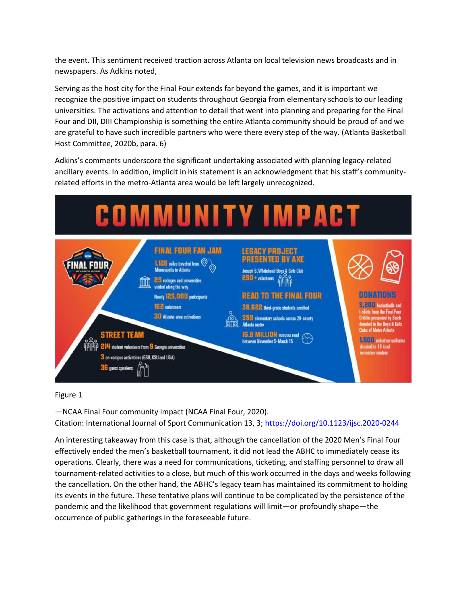the event. This sentiment received traction across Atlanta on local television news broadcasts and in newspapers. As Adkins noted,

Serving as the host city for the Final Four extends far beyond the games, and it is important we recognize the positive impact on students throughout Georgia from elementary schools to our leading universities. The activations and attention to detail that went into planning and preparing for the Final Four and DII, DIII Championship is something the entire Atlanta community should be proud of and we are grateful to have such incredible partners who were there every step of the way. (Atlanta Basketball Host Committee, 2020b, para. 6)

Adkins's comments underscore the significant undertaking associated with planning legacy-related ancillary events. In addition, implicit in his statement is an acknowledgment that his staff's communityrelated efforts in the metro-Atlanta area would be left largely unrecognized.



Figure 1

—NCAA Final Four community impact (NCAA Final Four, 2020). Citation: International Journal of Sport Communication 13, 3; <https://doi.org/10.1123/ijsc.2020-0244>

An interesting takeaway from this case is that, although the cancellation of the 2020 Men's Final Four effectively ended the men's basketball tournament, it did not lead the ABHC to immediately cease its operations. Clearly, there was a need for communications, ticketing, and staffing personnel to draw all tournament-related activities to a close, but much of this work occurred in the days and weeks following the cancellation. On the other hand, the ABHC's legacy team has maintained its commitment to holding its events in the future. These tentative plans will continue to be complicated by the persistence of the pandemic and the likelihood that government regulations will limit—or profoundly shape—the occurrence of public gatherings in the foreseeable future.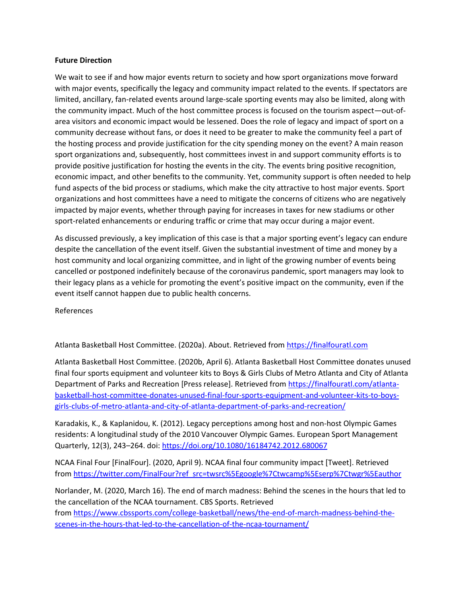#### **Future Direction**

We wait to see if and how major events return to society and how sport organizations move forward with major events, specifically the legacy and community impact related to the events. If spectators are limited, ancillary, fan-related events around large-scale sporting events may also be limited, along with the community impact. Much of the host committee process is focused on the tourism aspect—out-ofarea visitors and economic impact would be lessened. Does the role of legacy and impact of sport on a community decrease without fans, or does it need to be greater to make the community feel a part of the hosting process and provide justification for the city spending money on the event? A main reason sport organizations and, subsequently, host committees invest in and support community efforts is to provide positive justification for hosting the events in the city. The events bring positive recognition, economic impact, and other benefits to the community. Yet, community support is often needed to help fund aspects of the bid process or stadiums, which make the city attractive to host major events. Sport organizations and host committees have a need to mitigate the concerns of citizens who are negatively impacted by major events, whether through paying for increases in taxes for new stadiums or other sport-related enhancements or enduring traffic or crime that may occur during a major event.

As discussed previously, a key implication of this case is that a major sporting event's legacy can endure despite the cancellation of the event itself. Given the substantial investment of time and money by a host community and local organizing committee, and in light of the growing number of events being cancelled or postponed indefinitely because of the coronavirus pandemic, sport managers may look to their legacy plans as a vehicle for promoting the event's positive impact on the community, even if the event itself cannot happen due to public health concerns.

References

Atlanta Basketball Host Committee. (2020a). About. Retrieved from [https://finalfouratl.com](https://finalfouratl.com/)

Atlanta Basketball Host Committee. (2020b, April 6). Atlanta Basketball Host Committee donates unused final four sports equipment and volunteer kits to Boys & Girls Clubs of Metro Atlanta and City of Atlanta Department of Parks and Recreation [Press release]. Retrieved from [https://finalfouratl.com/atlanta](https://finalfouratl.com/atlanta-basketball-host-committee-donates-unused-final-four-sports-equipment-and-volunteer-kits-to-boys-girls-clubs-of-metro-atlanta-and-city-of-atlanta-department-of-parks-and-recreation/)[basketball-host-committee-donates-unused-final-four-sports-equipment-and-volunteer-kits-to-boys](https://finalfouratl.com/atlanta-basketball-host-committee-donates-unused-final-four-sports-equipment-and-volunteer-kits-to-boys-girls-clubs-of-metro-atlanta-and-city-of-atlanta-department-of-parks-and-recreation/)[girls-clubs-of-metro-atlanta-and-city-of-atlanta-department-of-parks-and-recreation/](https://finalfouratl.com/atlanta-basketball-host-committee-donates-unused-final-four-sports-equipment-and-volunteer-kits-to-boys-girls-clubs-of-metro-atlanta-and-city-of-atlanta-department-of-parks-and-recreation/)

Karadakis, K., & Kaplanidou, K. (2012). Legacy perceptions among host and non-host Olympic Games residents: A longitudinal study of the 2010 Vancouver Olympic Games. European Sport Management Quarterly, 12(3), 243-264. doi: <https://doi.org/10.1080/16184742.2012.680067>

NCAA Final Four [FinalFour]. (2020, April 9). NCAA final four community impact [Tweet]. Retrieved from [https://twitter.com/FinalFour?ref\\_src=twsrc%5Egoogle%7Ctwcamp%5Eserp%7Ctwgr%5Eauthor](https://twitter.com/FinalFour?ref_src=twsrc%5Egoogle%7Ctwcamp%5Eserp%7Ctwgr%5Eauthor)

Norlander, M. (2020, March 16). The end of march madness: Behind the scenes in the hours that led to the cancellation of the NCAA tournament. CBS Sports. Retrieved from [https://www.cbssports.com/college-basketball/news/the-end-of-march-madness-behind-the-](https://www.cbssports.com/college-basketball/news/the-end-of-march-madness-behind-the-scenes-in-the-hours-that-led-to-the-cancellation-of-the-ncaa-tournament/)

[scenes-in-the-hours-that-led-to-the-cancellation-of-the-ncaa-tournament/](https://www.cbssports.com/college-basketball/news/the-end-of-march-madness-behind-the-scenes-in-the-hours-that-led-to-the-cancellation-of-the-ncaa-tournament/)